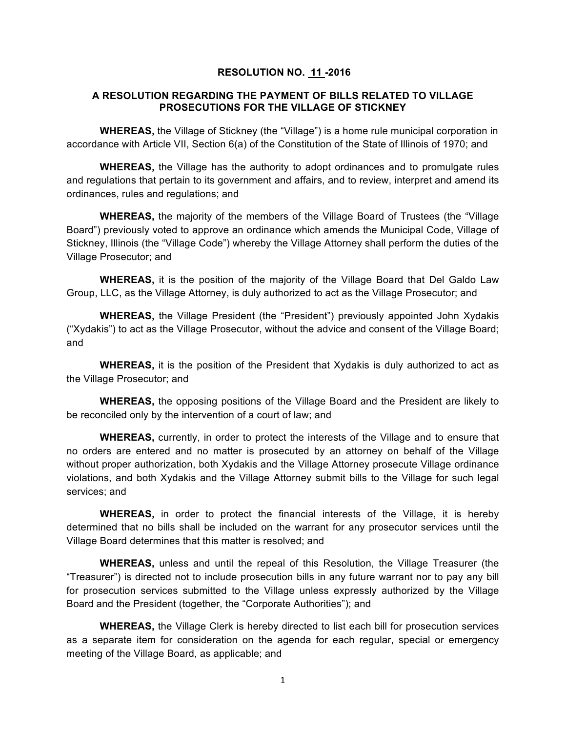## **RESOLUTION NO. 11 -2016**

## **A RESOLUTION REGARDING THE PAYMENT OF BILLS RELATED TO VILLAGE PROSECUTIONS FOR THE VILLAGE OF STICKNEY**

**WHEREAS,** the Village of Stickney (the "Village") is a home rule municipal corporation in accordance with Article VII, Section 6(a) of the Constitution of the State of Illinois of 1970; and

**WHEREAS,** the Village has the authority to adopt ordinances and to promulgate rules and regulations that pertain to its government and affairs, and to review, interpret and amend its ordinances, rules and regulations; and

**WHEREAS,** the majority of the members of the Village Board of Trustees (the "Village Board") previously voted to approve an ordinance which amends the Municipal Code, Village of Stickney, Illinois (the "Village Code") whereby the Village Attorney shall perform the duties of the Village Prosecutor; and

**WHEREAS,** it is the position of the majority of the Village Board that Del Galdo Law Group, LLC, as the Village Attorney, is duly authorized to act as the Village Prosecutor; and

**WHEREAS,** the Village President (the "President") previously appointed John Xydakis ("Xydakis") to act as the Village Prosecutor, without the advice and consent of the Village Board; and

**WHEREAS,** it is the position of the President that Xydakis is duly authorized to act as the Village Prosecutor; and

**WHEREAS,** the opposing positions of the Village Board and the President are likely to be reconciled only by the intervention of a court of law; and

**WHEREAS,** currently, in order to protect the interests of the Village and to ensure that no orders are entered and no matter is prosecuted by an attorney on behalf of the Village without proper authorization, both Xydakis and the Village Attorney prosecute Village ordinance violations, and both Xydakis and the Village Attorney submit bills to the Village for such legal services; and

**WHEREAS,** in order to protect the financial interests of the Village, it is hereby determined that no bills shall be included on the warrant for any prosecutor services until the Village Board determines that this matter is resolved; and

**WHEREAS,** unless and until the repeal of this Resolution, the Village Treasurer (the "Treasurer") is directed not to include prosecution bills in any future warrant nor to pay any bill for prosecution services submitted to the Village unless expressly authorized by the Village Board and the President (together, the "Corporate Authorities"); and

**WHEREAS,** the Village Clerk is hereby directed to list each bill for prosecution services as a separate item for consideration on the agenda for each regular, special or emergency meeting of the Village Board, as applicable; and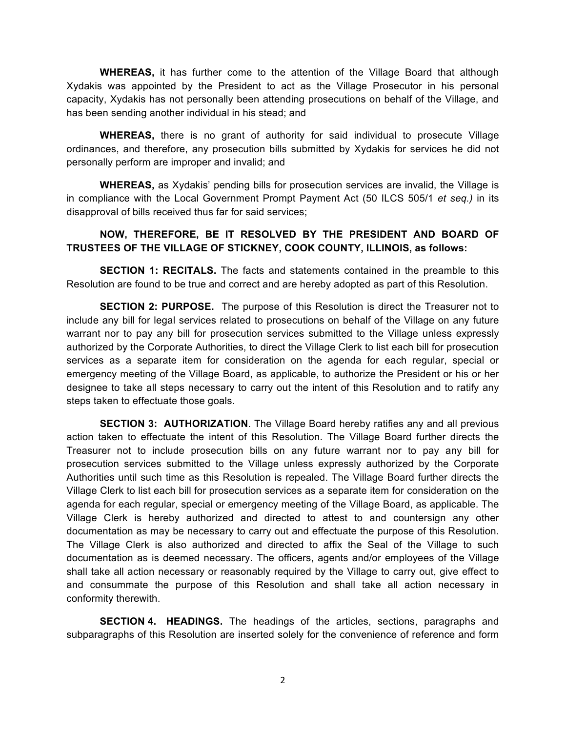**WHEREAS,** it has further come to the attention of the Village Board that although Xydakis was appointed by the President to act as the Village Prosecutor in his personal capacity, Xydakis has not personally been attending prosecutions on behalf of the Village, and has been sending another individual in his stead; and

**WHEREAS,** there is no grant of authority for said individual to prosecute Village ordinances, and therefore, any prosecution bills submitted by Xydakis for services he did not personally perform are improper and invalid; and

**WHEREAS,** as Xydakis' pending bills for prosecution services are invalid, the Village is in compliance with the Local Government Prompt Payment Act (50 ILCS 505/1 *et seq.)* in its disapproval of bills received thus far for said services;

## **NOW, THEREFORE, BE IT RESOLVED BY THE PRESIDENT AND BOARD OF TRUSTEES OF THE VILLAGE OF STICKNEY, COOK COUNTY, ILLINOIS, as follows:**

**SECTION 1: RECITALS.** The facts and statements contained in the preamble to this Resolution are found to be true and correct and are hereby adopted as part of this Resolution.

**SECTION 2: PURPOSE.** The purpose of this Resolution is direct the Treasurer not to include any bill for legal services related to prosecutions on behalf of the Village on any future warrant nor to pay any bill for prosecution services submitted to the Village unless expressly authorized by the Corporate Authorities, to direct the Village Clerk to list each bill for prosecution services as a separate item for consideration on the agenda for each regular, special or emergency meeting of the Village Board, as applicable, to authorize the President or his or her designee to take all steps necessary to carry out the intent of this Resolution and to ratify any steps taken to effectuate those goals.

**SECTION 3: AUTHORIZATION**. The Village Board hereby ratifies any and all previous action taken to effectuate the intent of this Resolution. The Village Board further directs the Treasurer not to include prosecution bills on any future warrant nor to pay any bill for prosecution services submitted to the Village unless expressly authorized by the Corporate Authorities until such time as this Resolution is repealed. The Village Board further directs the Village Clerk to list each bill for prosecution services as a separate item for consideration on the agenda for each regular, special or emergency meeting of the Village Board, as applicable. The Village Clerk is hereby authorized and directed to attest to and countersign any other documentation as may be necessary to carry out and effectuate the purpose of this Resolution. The Village Clerk is also authorized and directed to affix the Seal of the Village to such documentation as is deemed necessary. The officers, agents and/or employees of the Village shall take all action necessary or reasonably required by the Village to carry out, give effect to and consummate the purpose of this Resolution and shall take all action necessary in conformity therewith.

**SECTION 4. HEADINGS.** The headings of the articles, sections, paragraphs and subparagraphs of this Resolution are inserted solely for the convenience of reference and form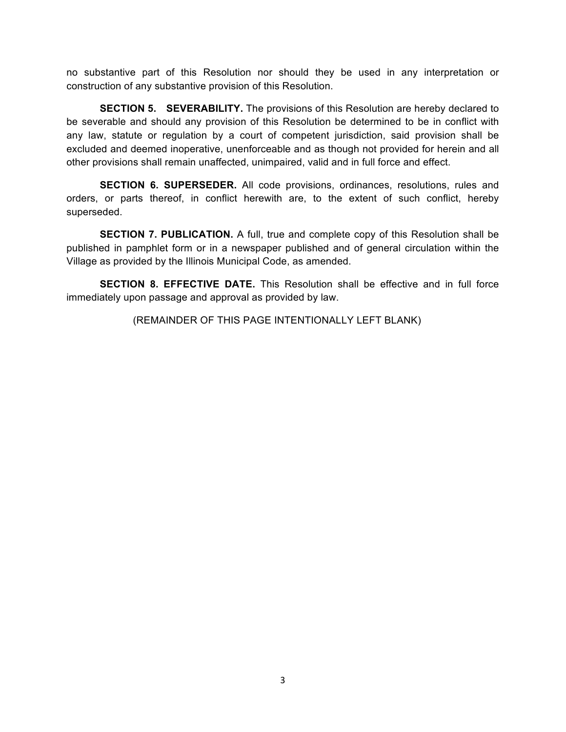no substantive part of this Resolution nor should they be used in any interpretation or construction of any substantive provision of this Resolution.

**SECTION 5. SEVERABILITY.** The provisions of this Resolution are hereby declared to be severable and should any provision of this Resolution be determined to be in conflict with any law, statute or regulation by a court of competent jurisdiction, said provision shall be excluded and deemed inoperative, unenforceable and as though not provided for herein and all other provisions shall remain unaffected, unimpaired, valid and in full force and effect.

**SECTION 6. SUPERSEDER.** All code provisions, ordinances, resolutions, rules and orders, or parts thereof, in conflict herewith are, to the extent of such conflict, hereby superseded.

**SECTION 7. PUBLICATION.** A full, true and complete copy of this Resolution shall be published in pamphlet form or in a newspaper published and of general circulation within the Village as provided by the Illinois Municipal Code, as amended.

**SECTION 8. EFFECTIVE DATE.** This Resolution shall be effective and in full force immediately upon passage and approval as provided by law.

(REMAINDER OF THIS PAGE INTENTIONALLY LEFT BLANK)